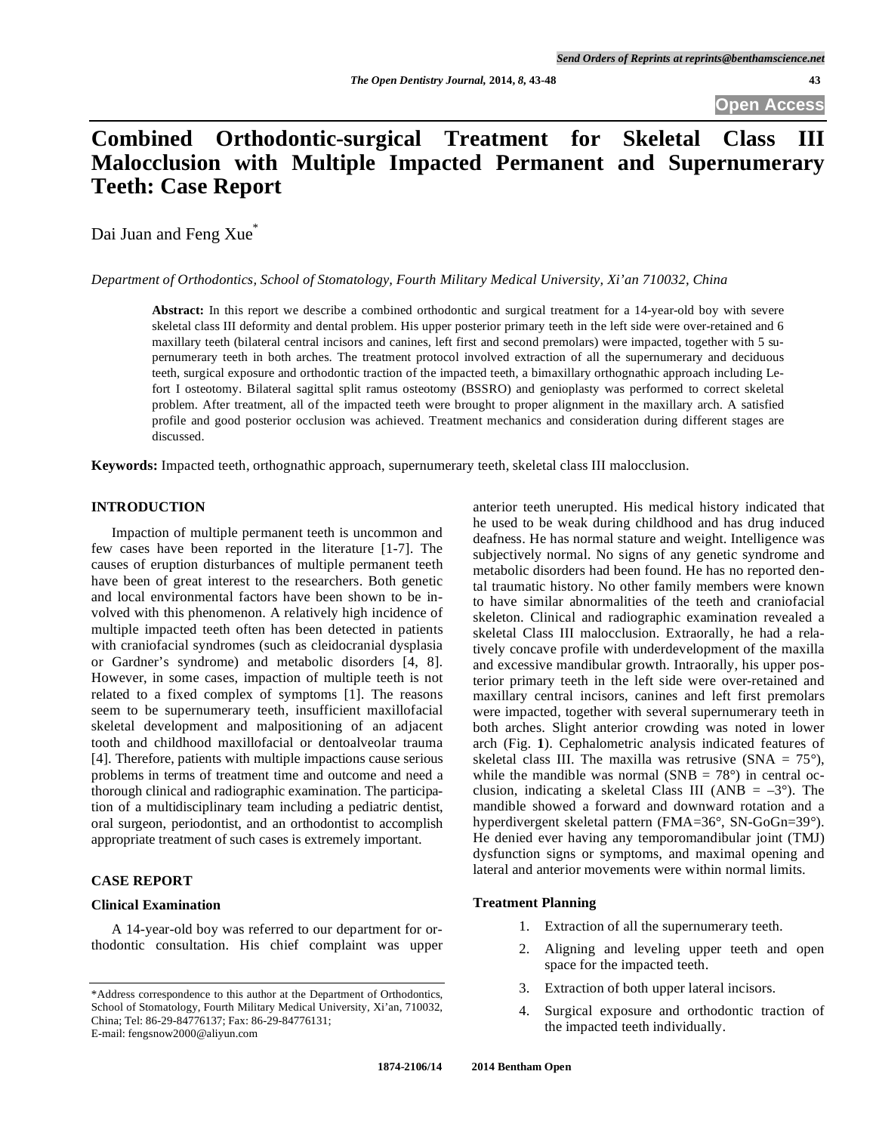# **Combined Orthodontic-surgical Treatment for Skeletal Class III Malocclusion with Multiple Impacted Permanent and Supernumerary Teeth: Case Report**

Dai Juan and Feng Xue<sup>\*</sup>

### *Department of Orthodontics, School of Stomatology, Fourth Military Medical University, Xi'an 710032, China*

**Abstract:** In this report we describe a combined orthodontic and surgical treatment for a 14-year-old boy with severe skeletal class III deformity and dental problem. His upper posterior primary teeth in the left side were over-retained and 6 maxillary teeth (bilateral central incisors and canines, left first and second premolars) were impacted, together with 5 supernumerary teeth in both arches. The treatment protocol involved extraction of all the supernumerary and deciduous teeth, surgical exposure and orthodontic traction of the impacted teeth, a bimaxillary orthognathic approach including Lefort I osteotomy. Bilateral sagittal split ramus osteotomy (BSSRO) and genioplasty was performed to correct skeletal problem. After treatment, all of the impacted teeth were brought to proper alignment in the maxillary arch. A satisfied profile and good posterior occlusion was achieved. Treatment mechanics and consideration during different stages are discussed.

**Keywords:** Impacted teeth, orthognathic approach, supernumerary teeth, skeletal class III malocclusion.

# **INTRODUCTION**

Impaction of multiple permanent teeth is uncommon and few cases have been reported in the literature [1-7]. The causes of eruption disturbances of multiple permanent teeth have been of great interest to the researchers. Both genetic and local environmental factors have been shown to be involved with this phenomenon. A relatively high incidence of multiple impacted teeth often has been detected in patients with craniofacial syndromes (such as cleidocranial dysplasia or Gardner's syndrome) and metabolic disorders [4, 8]. However, in some cases, impaction of multiple teeth is not related to a fixed complex of symptoms [1]. The reasons seem to be supernumerary teeth, insufficient maxillofacial skeletal development and malpositioning of an adjacent tooth and childhood maxillofacial or dentoalveolar trauma [4]. Therefore, patients with multiple impactions cause serious problems in terms of treatment time and outcome and need a thorough clinical and radiographic examination. The participation of a multidisciplinary team including a pediatric dentist, oral surgeon, periodontist, and an orthodontist to accomplish appropriate treatment of such cases is extremely important.

# **CASE REPORT**

# **Clinical Examination**

A 14-year-old boy was referred to our department for orthodontic consultation. His chief complaint was upper anterior teeth unerupted. His medical history indicated that he used to be weak during childhood and has drug induced deafness. He has normal stature and weight. Intelligence was subjectively normal. No signs of any genetic syndrome and metabolic disorders had been found. He has no reported dental traumatic history. No other family members were known to have similar abnormalities of the teeth and craniofacial skeleton. Clinical and radiographic examination revealed a skeletal Class III malocclusion. Extraorally, he had a relatively concave profile with underdevelopment of the maxilla and excessive mandibular growth. Intraorally, his upper posterior primary teeth in the left side were over-retained and maxillary central incisors, canines and left first premolars were impacted, together with several supernumerary teeth in both arches. Slight anterior crowding was noted in lower arch (Fig. **1**). Cephalometric analysis indicated features of skeletal class III. The maxilla was retrusive  $(SNA = 75^{\circ})$ . while the mandible was normal  $(SNB = 78^{\circ})$  in central occlusion, indicating a skeletal Class III (ANB =  $-3^{\circ}$ ). The mandible showed a forward and downward rotation and a hyperdivergent skeletal pattern (FMA=36°, SN-GoGn=39°). He denied ever having any temporomandibular joint (TMJ) dysfunction signs or symptoms, and maximal opening and lateral and anterior movements were within normal limits.

### **Treatment Planning**

- 1. Extraction of all the supernumerary teeth.
- 2. Aligning and leveling upper teeth and open space for the impacted teeth.
- 3. Extraction of both upper lateral incisors.
- 4. Surgical exposure and orthodontic traction of the impacted teeth individually.

<sup>\*</sup>Address correspondence to this author at the Department of Orthodontics, School of Stomatology, Fourth Military Medical University, Xi'an, 710032, China; Tel: 86-29-84776137; Fax: 86-29-84776131; E-mail: fengsnow2000@aliyun.com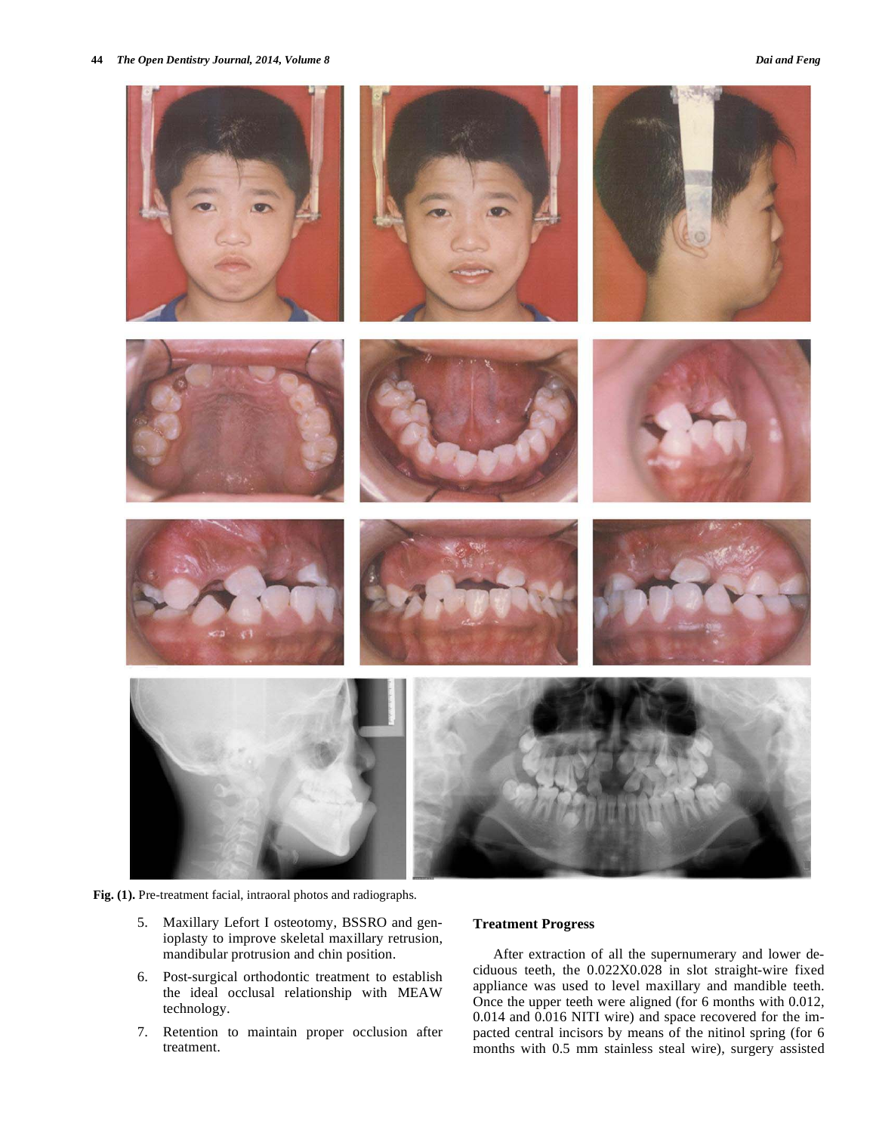

**Fig. (1).** Pre-treatment facial, intraoral photos and radiographs.

- 5. Maxillary Lefort I osteotomy, BSSRO and genioplasty to improve skeletal maxillary retrusion, mandibular protrusion and chin position.
- 6. Post-surgical orthodontic treatment to establish the ideal occlusal relationship with MEAW technology.
- 7. Retention to maintain proper occlusion after treatment.

# **Treatment Progress**

After extraction of all the supernumerary and lower deciduous teeth, the 0.022X0.028 in slot straight-wire fixed appliance was used to level maxillary and mandible teeth. Once the upper teeth were aligned (for 6 months with 0.012, 0.014 and 0.016 NITI wire) and space recovered for the impacted central incisors by means of the nitinol spring (for 6 months with 0.5 mm stainless steal wire), surgery assisted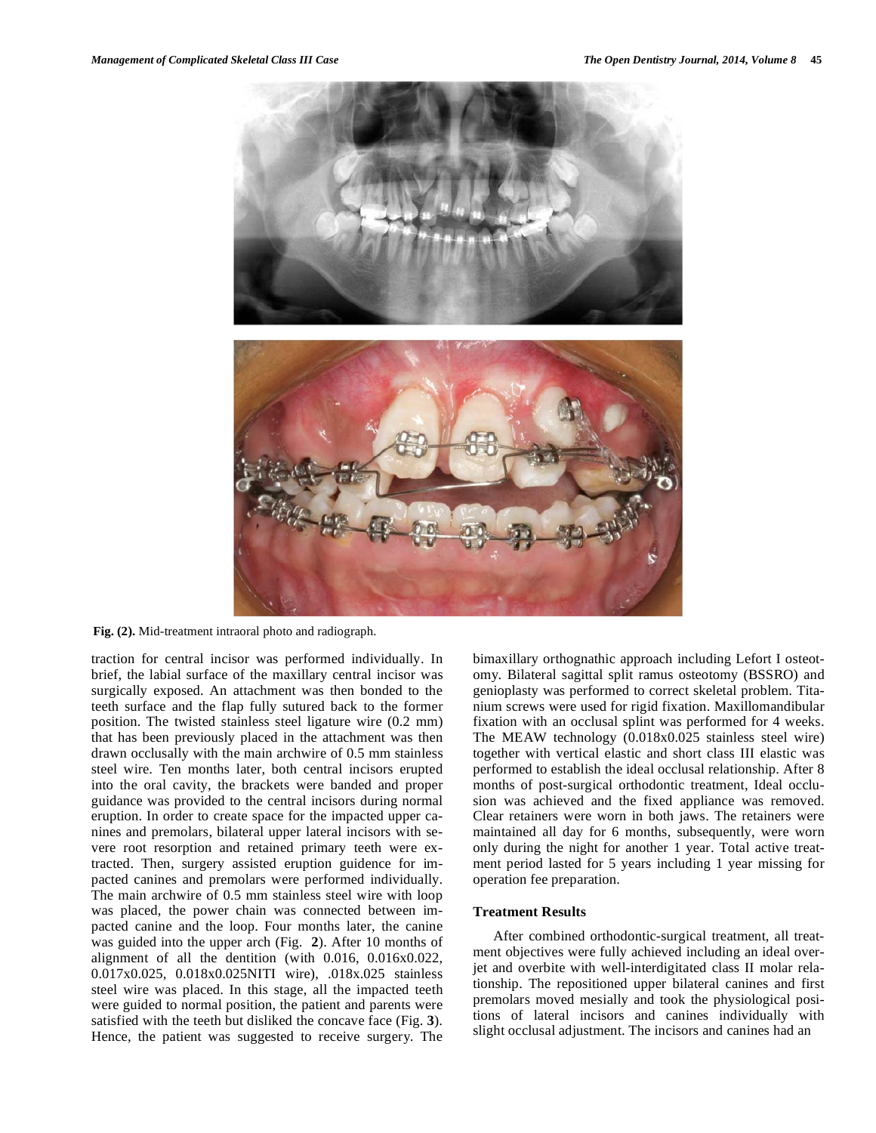

**Fig. (2).** Mid-treatment intraoral photo and radiograph.

traction for central incisor was performed individually. In brief, the labial surface of the maxillary central incisor was surgically exposed. An attachment was then bonded to the teeth surface and the flap fully sutured back to the former position. The twisted stainless steel ligature wire (0.2 mm) that has been previously placed in the attachment was then drawn occlusally with the main archwire of 0.5 mm stainless steel wire. Ten months later, both central incisors erupted into the oral cavity, the brackets were banded and proper guidance was provided to the central incisors during normal eruption. In order to create space for the impacted upper canines and premolars, bilateral upper lateral incisors with severe root resorption and retained primary teeth were extracted. Then, surgery assisted eruption guidence for impacted canines and premolars were performed individually. The main archwire of 0.5 mm stainless steel wire with loop was placed, the power chain was connected between impacted canine and the loop. Four months later, the canine was guided into the upper arch (Fig. **2**). After 10 months of alignment of all the dentition (with 0.016, 0.016x0.022, 0.017x0.025, 0.018x0.025NITI wire), .018x.025 stainless steel wire was placed. In this stage, all the impacted teeth were guided to normal position, the patient and parents were satisfied with the teeth but disliked the concave face (Fig. **3**). Hence, the patient was suggested to receive surgery. The

bimaxillary orthognathic approach including Lefort I osteotomy. Bilateral sagittal split ramus osteotomy (BSSRO) and genioplasty was performed to correct skeletal problem. Titanium screws were used for rigid fixation. Maxillomandibular fixation with an occlusal splint was performed for 4 weeks. The MEAW technology (0.018x0.025 stainless steel wire) together with vertical elastic and short class III elastic was performed to establish the ideal occlusal relationship. After 8 months of post-surgical orthodontic treatment, Ideal occlusion was achieved and the fixed appliance was removed. Clear retainers were worn in both jaws. The retainers were maintained all day for 6 months, subsequently, were worn only during the night for another 1 year. Total active treatment period lasted for 5 years including 1 year missing for operation fee preparation.

#### **Treatment Results**

After combined orthodontic-surgical treatment, all treatment objectives were fully achieved including an ideal overjet and overbite with well-interdigitated class II molar relationship. The repositioned upper bilateral canines and first premolars moved mesially and took the physiological positions of lateral incisors and canines individually with slight occlusal adjustment. The incisors and canines had an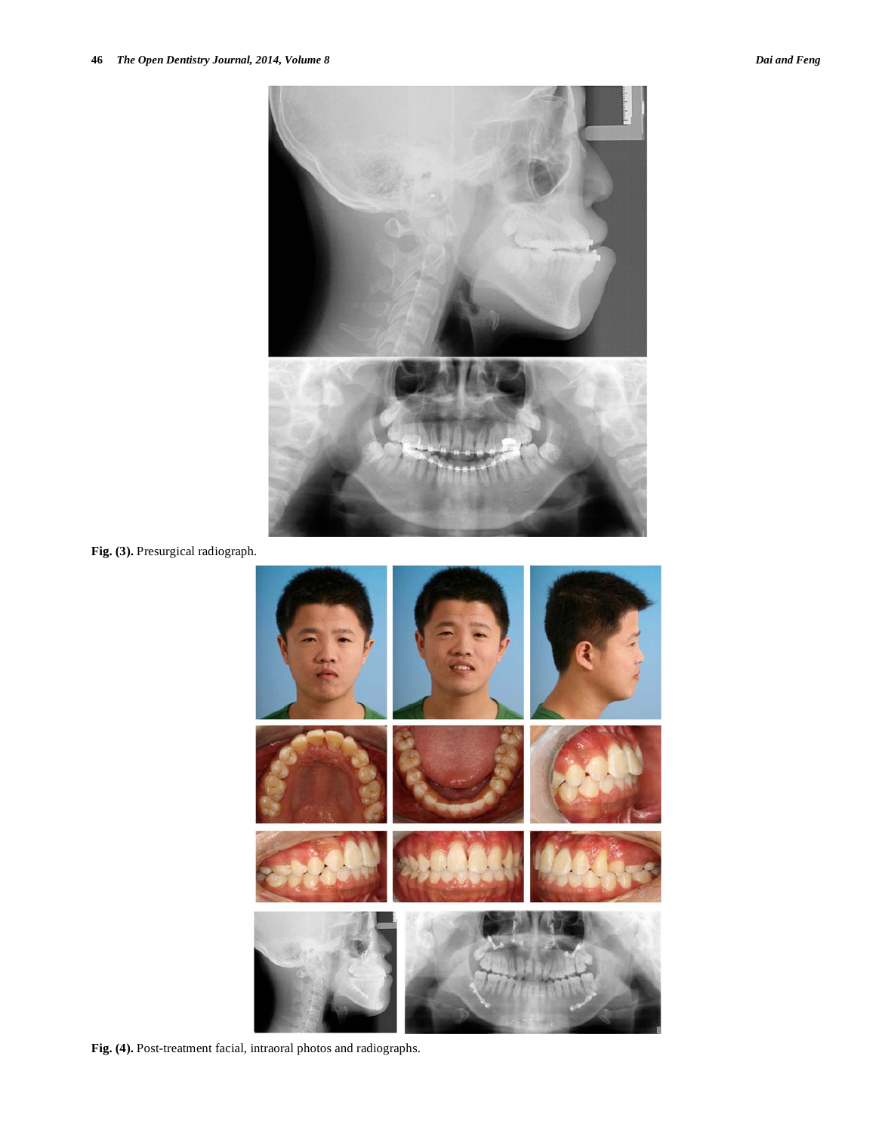

**Fig. (3).** Presurgical radiograph.



**Fig. (4).** Post-treatment facial, intraoral photos and radiographs.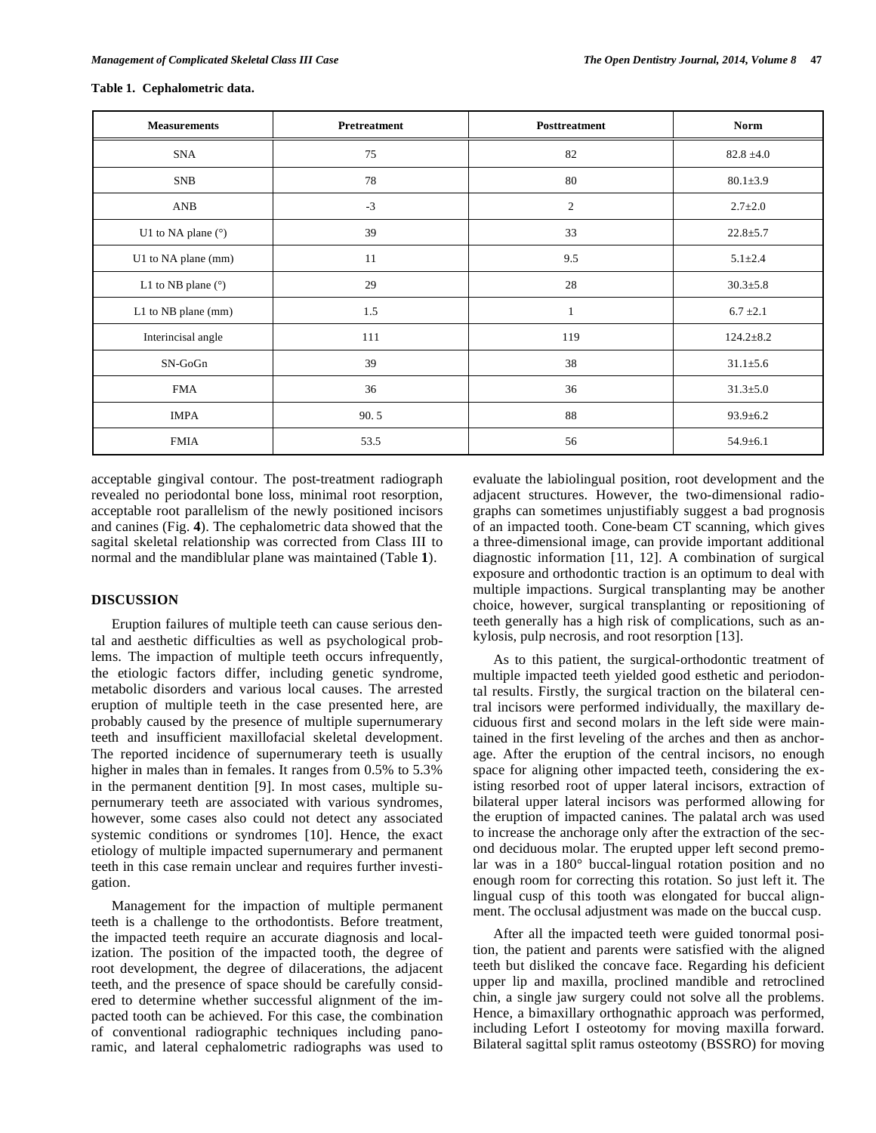| <b>Measurements</b>  | Pretreatment | Posttreatment | <b>Norm</b>     |
|----------------------|--------------|---------------|-----------------|
| <b>SNA</b>           | 75           | 82            | $82.8 \pm 4.0$  |
| SNB                  | 78           | 80            | $80.1 \pm 3.9$  |
| AND                  | $-3$         | $\sqrt{2}$    | $2.7 \pm 2.0$   |
| U1 to NA plane (°)   | 39           | 33            | $22.8 \pm 5.7$  |
| U1 to NA plane (mm)  | 11           | 9.5           | $5.1 \pm 2.4$   |
| L1 to NB plane $(°)$ | 29           | 28            | $30.3 \pm 5.8$  |
| L1 to NB plane (mm)  | 1.5          |               | $6.7 \pm 2.1$   |
| Interincisal angle   | 111          | 119           | $124.2 \pm 8.2$ |
| SN-GoGn              | 39           | 38            | $31.1 \pm 5.6$  |
| <b>FMA</b>           | 36           | 36            | $31.3 \pm 5.0$  |
| <b>IMPA</b>          | 90.5         | 88            | $93.9 \pm 6.2$  |
| <b>FMIA</b>          | 53.5         | 56            | $54.9 \pm 6.1$  |

#### **Table 1. Cephalometric data.**

acceptable gingival contour. The post-treatment radiograph revealed no periodontal bone loss, minimal root resorption, acceptable root parallelism of the newly positioned incisors and canines (Fig. **4**). The cephalometric data showed that the sagital skeletal relationship was corrected from Class III to normal and the mandiblular plane was maintained (Table **1**).

# **DISCUSSION**

Eruption failures of multiple teeth can cause serious dental and aesthetic difficulties as well as psychological problems. The impaction of multiple teeth occurs infrequently, the etiologic factors differ, including genetic syndrome, metabolic disorders and various local causes. The arrested eruption of multiple teeth in the case presented here, are probably caused by the presence of multiple supernumerary teeth and insufficient maxillofacial skeletal development. The reported incidence of supernumerary teeth is usually higher in males than in females. It ranges from 0.5% to 5.3% in the permanent dentition [9]. In most cases, multiple supernumerary teeth are associated with various syndromes, however, some cases also could not detect any associated systemic conditions or syndromes [10]. Hence, the exact etiology of multiple impacted supernumerary and permanent teeth in this case remain unclear and requires further investigation.

Management for the impaction of multiple permanent teeth is a challenge to the orthodontists. Before treatment, the impacted teeth require an accurate diagnosis and localization. The position of the impacted tooth, the degree of root development, the degree of dilacerations, the adjacent teeth, and the presence of space should be carefully considered to determine whether successful alignment of the impacted tooth can be achieved. For this case, the combination of conventional radiographic techniques including panoramic, and lateral cephalometric radiographs was used to

evaluate the labiolingual position, root development and the adjacent structures. However, the two-dimensional radiographs can sometimes unjustifiably suggest a bad prognosis of an impacted tooth. Cone-beam CT scanning, which gives a three-dimensional image, can provide important additional diagnostic information [11, 12]. A combination of surgical exposure and orthodontic traction is an optimum to deal with multiple impactions. Surgical transplanting may be another choice, however, surgical transplanting or repositioning of teeth generally has a high risk of complications, such as ankylosis, pulp necrosis, and root resorption [13].

As to this patient, the surgical-orthodontic treatment of multiple impacted teeth yielded good esthetic and periodontal results. Firstly, the surgical traction on the bilateral central incisors were performed individually, the maxillary deciduous first and second molars in the left side were maintained in the first leveling of the arches and then as anchorage. After the eruption of the central incisors, no enough space for aligning other impacted teeth, considering the existing resorbed root of upper lateral incisors, extraction of bilateral upper lateral incisors was performed allowing for the eruption of impacted canines. The palatal arch was used to increase the anchorage only after the extraction of the second deciduous molar. The erupted upper left second premolar was in a 180° buccal-lingual rotation position and no enough room for correcting this rotation. So just left it. The lingual cusp of this tooth was elongated for buccal alignment. The occlusal adjustment was made on the buccal cusp.

After all the impacted teeth were guided tonormal position, the patient and parents were satisfied with the aligned teeth but disliked the concave face. Regarding his deficient upper lip and maxilla, proclined mandible and retroclined chin, a single jaw surgery could not solve all the problems. Hence, a bimaxillary orthognathic approach was performed, including Lefort I osteotomy for moving maxilla forward. Bilateral sagittal split ramus osteotomy (BSSRO) for moving